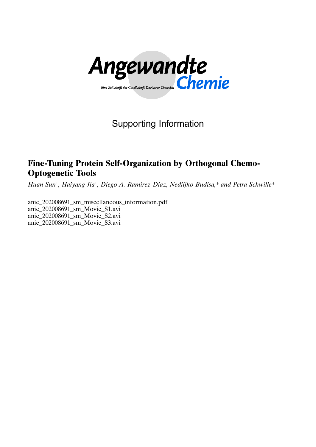

# Supporting Information

## Fine-Tuning Protein Self-Organization by Orthogonal Chemo-Optogenetic Tools

Huan Sun<sup>+</sup>[,](http://orcid.org/0000-0001-6925-3071) [Haiyang Jia](http://orcid.org/0000-0002-8330-5031)<sup>[+](http://orcid.org/0000-0002-8330-5031)</sup>[, D](http://orcid.org/0000-0002-8330-5031)iego A. Ramirez-Diaz, [Nediljko Budisa,\\* and](http://orcid.org/0000-0001-8437-7304) [Petra Schwille\\*](http://orcid.org/0000-0002-6106-4847)

anie\_202008691\_sm\_miscellaneous\_information.pdf anie\_202008691\_sm\_Movie\_S1.avi anie\_202008691\_sm\_Movie\_S2.avi anie\_202008691\_sm\_Movie\_S3.avi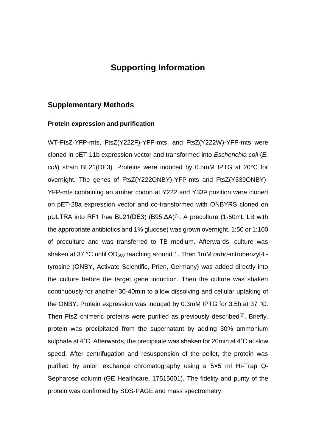## **Supporting Information**

#### **Supplementary Methods**

#### **Protein expression and purification**

WT-FtsZ-YFP-mts, FtsZ(Y222F)-YFP-mts, and FtsZ(Y222W)-YFP-mts were cloned in pET-11b expression vector and transformed into *Escherichia coli* (*E. coli*) strain BL21(DE3). Proteins were induced by 0.5mM IPTG at 20°C for overnight. The genes of FtsZ(Y222ONBY)-YFP-mts and FtsZ(Y339ONBY)- YFP-mts containing an amber codon at Y222 and Y339 position were cloned on pET-28a expression vector and co-transformed with ONBYRS cloned on pULTRA into RF1 free BL21(DE3) (B95.ΔA)<sup>[1]</sup>. A preculture (1-50mL LB with the appropriate antibiotics and 1% glucose) was grown overnight. 1:50 or 1:100 of preculture and was transferred to TB medium. Afterwards, culture was shaken at 37 °C until OD<sub>600</sub> reaching around 1. Then 1mM *ortho*-nitrobenzyl-Ltyrosine (ONBY, Activate Scientific, Prien, Germany) was added directly into the culture before the target gene induction. Then the culture was shaken continuously for another 30-40min to allow dissolving and cellular uptaking of the ONBY. Protein expression was induced by 0.3mM IPTG for 3.5h at 37 °C. Then FtsZ chimeric proteins were purified as previously described<sup>[2]</sup>. Briefly, protein was precipitated from the supernatant by adding 30% ammonium sulphate at 4˚C. Afterwards, the precipitate was shaken for 20min at 4˚C at slow speed. After centrifugation and resuspension of the pellet, the protein was purified by anion exchange chromatography using a 5×5 ml Hi-Trap Q-Sepharose column (GE Healthcare, 17515601). The fidelity and purity of the protein was confirmed by SDS-PAGE and mass spectrometry.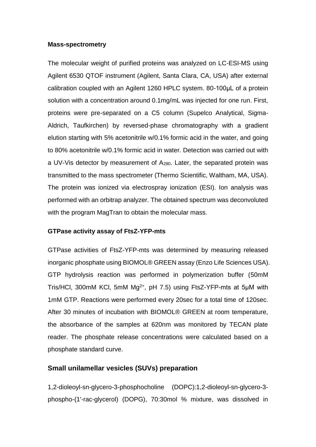#### **Mass-spectrometry**

The molecular weight of purified proteins was analyzed on LC-ESI-MS using Agilent 6530 QTOF instrument (Agilent, Santa Clara, CA, USA) after external calibration coupled with an Agilent 1260 HPLC system. 80-100μL of a protein solution with a concentration around 0.1mg/mL was injected for one run. First, proteins were pre-separated on a C5 column (Supelco Analytical, Sigma-Aldrich, Taufkirchen) by reversed-phase chromatography with a gradient elution starting with 5% acetonitrile w/0.1% formic acid in the water, and going to 80% acetonitrile w/0.1% formic acid in water. Detection was carried out with a UV-Vis detector by measurement of A280. Later, the separated protein was transmitted to the mass spectrometer (Thermo Scientific, Waltham, MA, USA). The protein was ionized via electrospray ionization (ESI). Ion analysis was performed with an orbitrap analyzer. The obtained spectrum was deconvoluted with the program MagTran to obtain the molecular mass.

#### **GTPase activity assay of FtsZ-YFP-mts**

GTPase activities of FtsZ-YFP-mts was determined by measuring released inorganic phosphate using BIOMOL® GREEN assay (Enzo Life Sciences USA). GTP hydrolysis reaction was performed in polymerization buffer (50mM Tris/HCI, 300mM KCI, 5mM  $Mg^{2+}$ , pH 7.5) using FtsZ-YFP-mts at 5 $\mu$ M with 1mM GTP. Reactions were performed every 20sec for a total time of 120sec. After 30 minutes of incubation with BIOMOL® GREEN at room temperature, the absorbance of the samples at 620nm was monitored by TECAN plate reader. The phosphate release concentrations were calculated based on a phosphate standard curve.

#### **Small unilamellar vesicles (SUVs) preparation**

1,2-dioleoyl-sn-glycero-3-phosphocholine (DOPC):1,2-dioleoyl-sn-glycero-3 phospho-(1'-rac-glycerol) (DOPG), 70:30mol % mixture, was dissolved in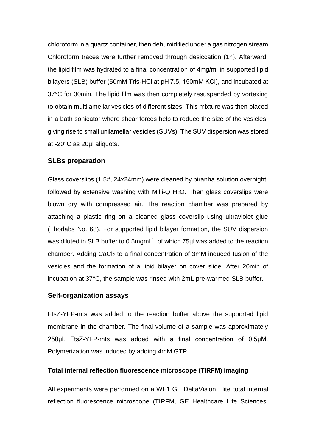chloroform in a quartz container, then dehumidified under a gas nitrogen stream. Chloroform traces were further removed through desiccation (1h). Afterward, the lipid film was hydrated to a final concentration of 4mg/ml in supported lipid bilayers (SLB) buffer (50mM Tris-HCl at pH 7.5, 150mM KCl), and incubated at 37°C for 30min. The lipid film was then completely resuspended by vortexing to obtain multilamellar vesicles of different sizes. This mixture was then placed in a bath sonicator where shear forces help to reduce the size of the vesicles, giving rise to small unilamellar vesicles (SUVs). The SUV dispersion was stored at -20°C as 20µl aliquots.

#### **SLBs preparation**

Glass coverslips (1.5#, 24x24mm) were cleaned by piranha solution overnight, followed by extensive washing with Milli-Q H<sub>2</sub>O. Then glass coverslips were blown dry with compressed air. The reaction chamber was prepared by attaching a plastic ring on a cleaned glass coverslip using ultraviolet glue (Thorlabs No. 68). For supported lipid bilayer formation, the SUV dispersion was diluted in SLB buffer to 0.5mgml<sup>-1</sup>, of which 75µl was added to the reaction chamber. Adding CaCl<sup>2</sup> to a final concentration of 3mM induced fusion of the vesicles and the formation of a lipid bilayer on cover slide. After 20min of incubation at 37°C, the sample was rinsed with 2mL pre-warmed SLB buffer.

#### **Self-organization assays**

FtsZ-YFP-mts was added to the reaction buffer above the supported lipid membrane in the chamber. The final volume of a sample was approximately 250μl. FtsZ-YFP-mts was added with a final concentration of 0.5μM. Polymerization was induced by adding 4mM GTP.

#### **Total internal reflection fluorescence microscope (TIRFM) imaging**

All experiments were performed on a WF1 GE DeltaVision Elite total internal reflection fluorescence microscope (TIRFM, GE Healthcare Life Sciences,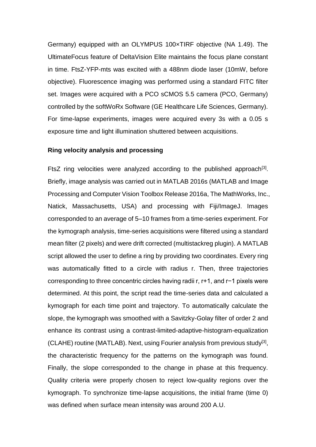Germany) equipped with an OLYMPUS 100×TIRF objective (NA 1.49). The UltimateFocus feature of DeltaVision Elite maintains the focus plane constant in time. FtsZ-YFP-mts was excited with a 488nm diode laser (10mW, before objective). Fluorescence imaging was performed using a standard FITC filter set. Images were acquired with a PCO sCMOS 5.5 camera (PCO, Germany) controlled by the softWoRx Software (GE Healthcare Life Sciences, Germany). For time-lapse experiments, images were acquired every 3s with a 0.05 s exposure time and light illumination shuttered between acquisitions.

#### **Ring velocity analysis and processing**

FtsZ ring velocities were analyzed according to the published approach<sup>[3]</sup>. Briefly, image analysis was carried out in MATLAB 2016s (MATLAB and Image Processing and Computer Vision Toolbox Release 2016a, The MathWorks, Inc., Natick, Massachusetts, USA) and processing with Fiji/ImageJ. Images corresponded to an average of 5–10 frames from a time-series experiment. For the kymograph analysis, time-series acquisitions were filtered using a standard mean filter (2 pixels) and were drift corrected (multistackreg plugin). A MATLAB script allowed the user to define a ring by providing two coordinates. Every ring was automatically fitted to a circle with radius r. Then, three trajectories corresponding to three concentric circles having radii r, r+1, and r−1 pixels were determined. At this point, the script read the time-series data and calculated a kymograph for each time point and trajectory. To automatically calculate the slope, the kymograph was smoothed with a Savitzky-Golay filter of order 2 and enhance its contrast using a contrast-limited-adaptive-histogram-equalization (CLAHE) routine (MATLAB). Next, using Fourier analysis from previous study<sup>[3]</sup>, the characteristic frequency for the patterns on the kymograph was found. Finally, the slope corresponded to the change in phase at this frequency. Quality criteria were properly chosen to reject low-quality regions over the kymograph. To synchronize time-lapse acquisitions, the initial frame (time 0) was defined when surface mean intensity was around 200 A.U.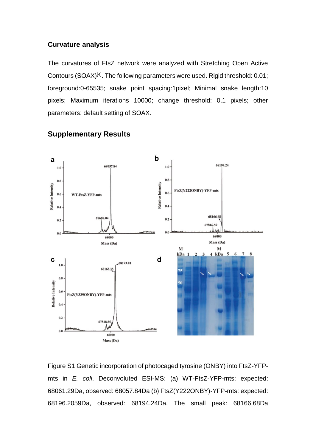#### **Curvature analysis**

The curvatures of FtsZ network were analyzed with Stretching Open Active Contours (SOAX)<sup>[4]</sup>. The following parameters were used. Rigid threshold: 0.01; foreground:0-65535; snake point spacing:1pixel; Minimal snake length:10 pixels; Maximum iterations 10000; change threshold: 0.1 pixels; other parameters: default setting of SOAX.



#### **Supplementary Results**

Figure S1 Genetic incorporation of photocaged tyrosine (ONBY) into FtsZ-YFPmts in *E. coli*. Deconvoluted ESI-MS: (a) WT-FtsZ-YFP-mts: expected: 68061.29Da, observed: 68057.84Da (b) FtsZ(Y222ONBY)-YFP-mts: expected: 68196.2059Da, observed: 68194.24Da. The small peak: 68166.68Da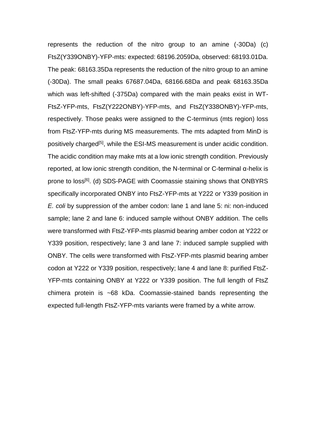represents the reduction of the nitro group to an amine (-30Da) (c) FtsZ(Y339ONBY)-YFP-mts: expected: 68196.2059Da, observed: 68193.01Da. The peak: 68163.35Da represents the reduction of the nitro group to an amine (-30Da). The small peaks 67687.04Da, 68166.68Da and peak 68163.35Da which was left-shifted (-375Da) compared with the main peaks exist in WT-FtsZ-YFP-mts, FtsZ(Y222ONBY)-YFP-mts, and FtsZ(Y338ONBY)-YFP-mts, respectively. Those peaks were assigned to the C-terminus (mts region) loss from FtsZ-YFP-mts during MS measurements. The mts adapted from MinD is positively charged<sup>[5]</sup>, while the ESI-MS measurement is under acidic condition. The acidic condition may make mts at a low ionic strength condition. Previously reported, at low ionic strength condition, the N-terminal or C-terminal α-helix is prone to loss<sup>[6]</sup>. (d) SDS-PAGE with Coomassie staining shows that ONBYRS specifically incorporated ONBY into FtsZ-YFP-mts at Y222 or Y339 position in *E. coli* by suppression of the amber codon: lane 1 and lane 5: ni: non-induced sample; lane 2 and lane 6: induced sample without ONBY addition. The cells were transformed with FtsZ-YFP-mts plasmid bearing amber codon at Y222 or Y339 position, respectively; lane 3 and lane 7: induced sample supplied with ONBY. The cells were transformed with FtsZ-YFP-mts plasmid bearing amber codon at Y222 or Y339 position, respectively; lane 4 and lane 8: purified FtsZ-YFP-mts containing ONBY at Y222 or Y339 position. The full length of FtsZ chimera protein is ~68 kDa. Coomassie-stained bands representing the expected full-length FtsZ-YFP-mts variants were framed by a white arrow.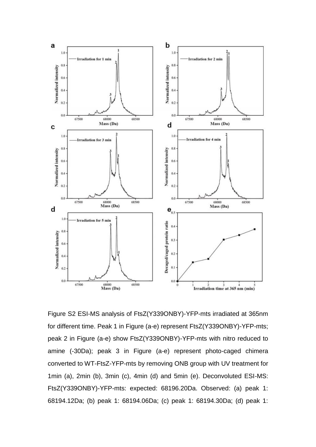

Figure S2 ESI-MS analysis of FtsZ(Y339ONBY)-YFP-mts irradiated at 365nm for different time. Peak 1 in Figure (a-e) represent FtsZ(Y339ONBY)-YFP-mts; peak 2 in Figure (a-e) show FtsZ(Y339ONBY)-YFP-mts with nitro reduced to amine (-30Da); peak 3 in Figure (a-e) represent photo-caged chimera converted to WT-FtsZ-YFP-mts by removing ONB group with UV treatment for 1min (a), 2min (b), 3min (c), 4min (d) and 5min (e). Deconvoluted ESI-MS: FtsZ(Y339ONBY)-YFP-mts: expected: 68196.20Da. Observed: (a) peak 1: 68194.12Da; (b) peak 1: 68194.06Da; (c) peak 1: 68194.30Da; (d) peak 1: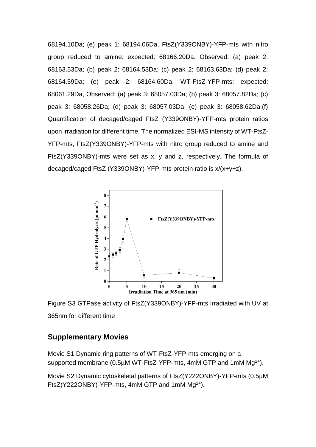68194.10Da; (e) peak 1: 68194.06Da. FtsZ(Y339ONBY)-YFP-mts with nitro group reduced to amine: expected: 68166.20Da. Observed: (a) peak 2: 68163.53Da; (b) peak 2: 68164.53Da; (c) peak 2: 68163.63Da; (d) peak 2: 68164.59Da; (e) peak 2: 68164.60Da. WT-FtsZ-YFP-mts: expected: 68061.29Da, Observed: (a) peak 3: 68057.03Da; (b) peak 3: 68057.82Da; (c) peak 3: 68058.26Da; (d) peak 3: 68057.03Da; (e) peak 3: 68058.62Da.(f) Quantification of decaged/caged FtsZ (Y339ONBY)-YFP-mts protein ratios upon irradiation for different time. The normalized ESI-MS intensity of WT-FtsZ-YFP-mts, FtsZ(Y339ONBY)-YFP-mts with nitro group reduced to amine and FtsZ(Y339ONBY)-mts were set as x, y and z, respectively. The formula of decaged/caged FtsZ (Y339ONBY)-YFP-mts protein ratio is x/(x+y+z).



Figure S3 GTPase activity of FtsZ(Y339ONBY)-YFP-mts irradiated with UV at 365nm for different time

### **Supplementary Movies**

Movie S1 Dynamic ring patterns of WT-FtsZ-YFP-mts emerging on a supported membrane (0.5 $\mu$ M WT-FtsZ-YFP-mts, 4mM GTP and 1mM Mg<sup>2+</sup>).

Movie S2 Dynamic cytoskeletal patterns of FtsZ(Y222ONBY)-YFP-mts (0.5µM FtsZ(Y222ONBY)-YFP-mts, 4mM GTP and 1mM  $Mq^{2+}$ ).